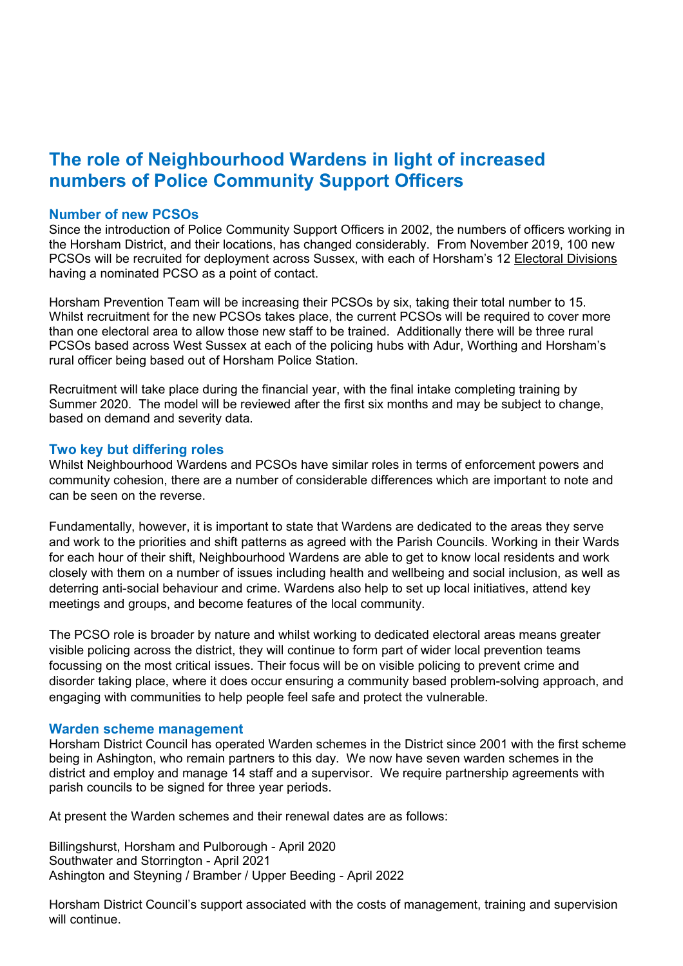## **The role of Neighbourhood Wardens in light of increased numbers of Police Community Support Officers**

#### **Number of new PCSOs**

Since the introduction of Police Community Support Officers in 2002, the numbers of officers working in the Horsham District, and their locations, has changed considerably. From November 2019, 100 new PCSOs will be recruited for deployment across Sussex, with each of Horsham's 12 Electoral Divisions having a nominated PCSO as a point of contact.

Horsham Prevention Team will be increasing their PCSOs by six, taking their total number to 15. Whilst recruitment for the new PCSOs takes place, the current PCSOs will be required to cover more than one electoral area to allow those new staff to be trained. Additionally there will be three rural PCSOs based across West Sussex at each of the policing hubs with Adur, Worthing and Horsham's rural officer being based out of Horsham Police Station.

Recruitment will take place during the financial year, with the final intake completing training by Summer 2020. The model will be reviewed after the first six months and may be subject to change, based on demand and severity data.

### **Two key but differing roles**

Whilst Neighbourhood Wardens and PCSOs have similar roles in terms of enforcement powers and community cohesion, there are a number of considerable differences which are important to note and can be seen on the reverse.

Fundamentally, however, it is important to state that Wardens are dedicated to the areas they serve and work to the priorities and shift patterns as agreed with the Parish Councils. Working in their Wards for each hour of their shift, Neighbourhood Wardens are able to get to know local residents and work closely with them on a number of issues including health and wellbeing and social inclusion, as well as deterring anti-social behaviour and crime. Wardens also help to set up local initiatives, attend key meetings and groups, and become features of the local community.

The PCSO role is broader by nature and whilst working to dedicated electoral areas means greater visible policing across the district, they will continue to form part of wider local prevention teams focussing on the most critical issues. Their focus will be on visible policing to prevent crime and disorder taking place, where it does occur ensuring a community based problem-solving approach, and engaging with communities to help people feel safe and protect the vulnerable.

#### **Warden scheme management**

Horsham District Council has operated Warden schemes in the District since 2001 with the first scheme being in Ashington, who remain partners to this day. We now have seven warden schemes in the district and employ and manage 14 staff and a supervisor. We require partnership agreements with parish councils to be signed for three year periods.

At present the Warden schemes and their renewal dates are as follows:

Billingshurst, Horsham and Pulborough - April 2020 Southwater and Storrington - April 2021 Ashington and Steyning / Bramber / Upper Beeding - April 2022

Horsham District Council's support associated with the costs of management, training and supervision will continue.